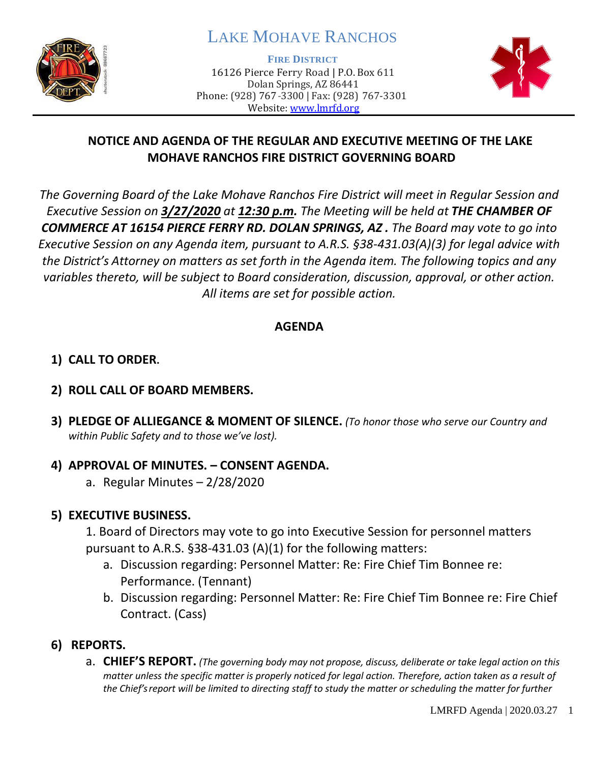

# LAKE MOHAVE RANCHOS

**FIRE DISTRICT**

16126 Pierce Ferry Road | P.O. Box 611 Dolan Springs, AZ 86441 Phone: (928) 767-3300 | Fax: (928) 767-3301 Website: [www.lmrfd.org](http://www.lmrfd.org/)



## **NOTICE AND AGENDA OF THE REGULAR AND EXECUTIVE MEETING OF THE LAKE MOHAVE RANCHOS FIRE DISTRICT GOVERNING BOARD**

*The Governing Board of the Lake Mohave Ranchos Fire District will meet in Regular Session and Executive Session on 3/27/2020 at 12:30 p.m. The Meeting will be held at THE CHAMBER OF COMMERCE AT 16154 PIERCE FERRY RD. DOLAN SPRINGS, AZ . The Board may vote to go into Executive Session on any Agenda item, pursuant to A.R.S. §38-431.03(A)(3) for legal advice with the District's Attorney on matters as set forth in the Agenda item. The following topics and any variables thereto, will be subject to Board consideration, discussion, approval, or other action. All items are set for possible action.* 

## **AGENDA**

# **1) CALL TO ORDER.**

## **2) ROLL CALL OF BOARD MEMBERS.**

**3) PLEDGE OF ALLIEGANCE & MOMENT OF SILENCE.** *(To honor those who serve our Country and within Public Safety and to those we've lost).*

#### **4) APPROVAL OF MINUTES. – CONSENT AGENDA.**

a. Regular Minutes – 2/28/2020

# **5) EXECUTIVE BUSINESS.**

1. Board of Directors may vote to go into Executive Session for personnel matters pursuant to A.R.S. §38-431.03 (A)(1) for the following matters:

- a. Discussion regarding: Personnel Matter: Re: Fire Chief Tim Bonnee re: Performance. (Tennant)
- b. Discussion regarding: Personnel Matter: Re: Fire Chief Tim Bonnee re: Fire Chief Contract. (Cass)

## **6) REPORTS.**

a. **CHIEF'S REPORT.** *(The governing body may not propose, discuss, deliberate or take legal action on this matter unless the specific matter is properly noticed for legal action. Therefore, action taken as a result of the Chief's report will be limited to directing staff to study the matter or scheduling the matter for further*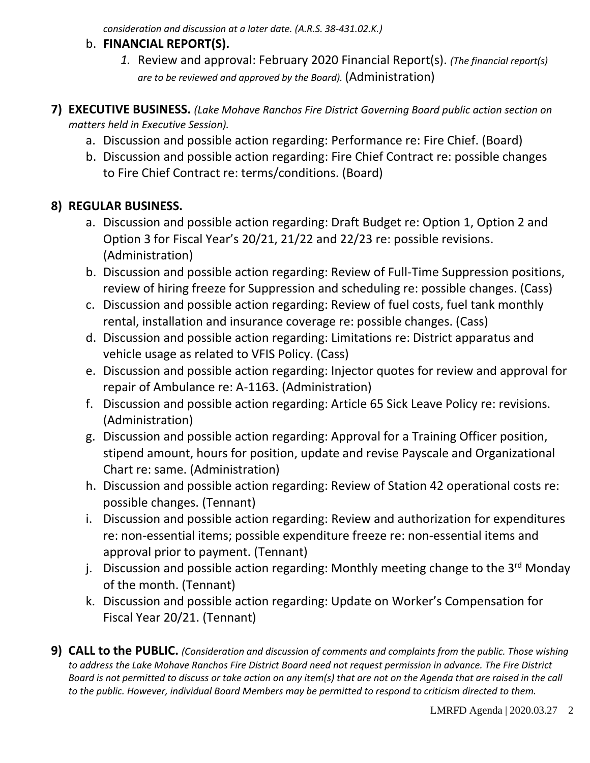*consideration and discussion at a later date. (A.R.S. 38-431.02.K.)*

- b. **FINANCIAL REPORT(S).**
	- *1.* Review and approval: February 2020 Financial Report(s). *(The financial report(s) are to be reviewed and approved by the Board).* (Administration)
- **7) EXECUTIVE BUSINESS.** *(Lake Mohave Ranchos Fire District Governing Board public action section on matters held in Executive Session).*
	- a. Discussion and possible action regarding: Performance re: Fire Chief. (Board)
	- b. Discussion and possible action regarding: Fire Chief Contract re: possible changes to Fire Chief Contract re: terms/conditions. (Board)

#### **8) REGULAR BUSINESS.**

- a. Discussion and possible action regarding: Draft Budget re: Option 1, Option 2 and Option 3 for Fiscal Year's 20/21, 21/22 and 22/23 re: possible revisions. (Administration)
- b. Discussion and possible action regarding: Review of Full-Time Suppression positions, review of hiring freeze for Suppression and scheduling re: possible changes. (Cass)
- c. Discussion and possible action regarding: Review of fuel costs, fuel tank monthly rental, installation and insurance coverage re: possible changes. (Cass)
- d. Discussion and possible action regarding: Limitations re: District apparatus and vehicle usage as related to VFIS Policy. (Cass)
- e. Discussion and possible action regarding: Injector quotes for review and approval for repair of Ambulance re: A-1163. (Administration)
- f. Discussion and possible action regarding: Article 65 Sick Leave Policy re: revisions. (Administration)
- g. Discussion and possible action regarding: Approval for a Training Officer position, stipend amount, hours for position, update and revise Payscale and Organizational Chart re: same. (Administration)
- h. Discussion and possible action regarding: Review of Station 42 operational costs re: possible changes. (Tennant)
- i. Discussion and possible action regarding: Review and authorization for expenditures re: non-essential items; possible expenditure freeze re: non-essential items and approval prior to payment. (Tennant)
- j. Discussion and possible action regarding: Monthly meeting change to the  $3<sup>rd</sup>$  Monday of the month. (Tennant)
- k. Discussion and possible action regarding: Update on Worker's Compensation for Fiscal Year 20/21. (Tennant)
- **9) CALL to the PUBLIC.** *(Consideration and discussion of comments and complaints from the public. Those wishing to address the Lake Mohave Ranchos Fire District Board need not request permission in advance. The Fire District Board is not permitted to discuss or take action on any item(s) that are not on the Agenda that are raised in the call to the public. However, individual Board Members may be permitted to respond to criticism directed to them.*